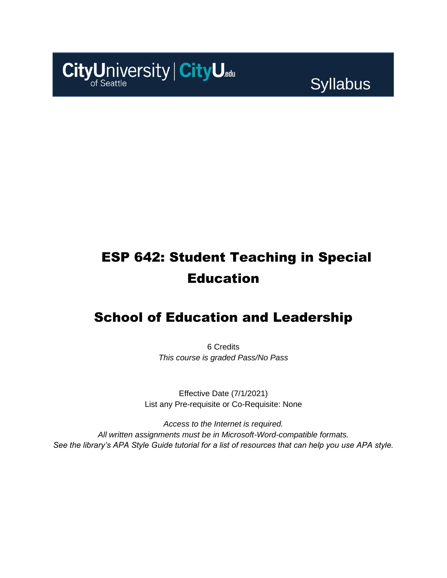

Syllabus

# ESP 642: Student Teaching in Special Education

## School of Education and Leadership

6 Credits *This course is graded Pass/No Pass*

Effective Date (7/1/2021) List any Pre-requisite or Co-Requisite: None

*Access to the Internet is required. All written assignments must be in Microsoft-Word-compatible formats. See the library's APA Style Guide tutorial for a list of resources that can help you use APA style.*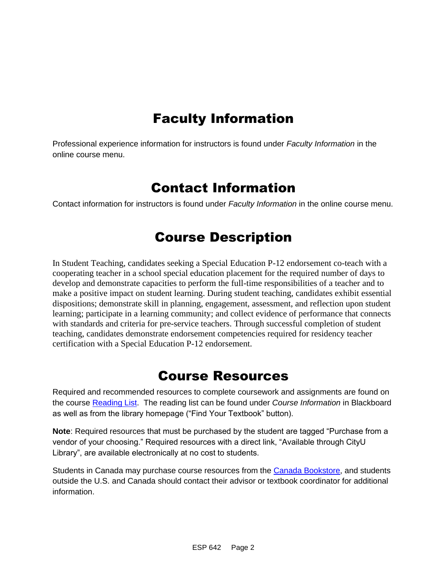## Faculty Information

Professional experience information for instructors is found under *Faculty Information* in the online course menu.

### Contact Information

Contact information for instructors is found under *Faculty Information* in the online course menu.

## Course Description

In Student Teaching, candidates seeking a Special Education P-12 endorsement co-teach with a cooperating teacher in a school special education placement for the required number of days to develop and demonstrate capacities to perform the full-time responsibilities of a teacher and to make a positive impact on student learning. During student teaching, candidates exhibit essential dispositions; demonstrate skill in planning, engagement, assessment, and reflection upon student learning; participate in a learning community; and collect evidence of performance that connects with standards and criteria for pre-service teachers. Through successful completion of student teaching, candidates demonstrate endorsement competencies required for residency teacher certification with a Special Education P-12 endorsement.

### Course Resources

Required and recommended resources to complete coursework and assignments are found on the course [Reading List.](https://cityu.alma.exlibrisgroup.com/leganto/login?auth=SAML) The reading list can be found under *Course Information* in Blackboard as well as from the library homepage ("Find Your Textbook" button).

**Note**: Required resources that must be purchased by the student are tagged "Purchase from a vendor of your choosing." Required resources with a direct link, "Available through CityU Library", are available electronically at no cost to students.

Students in Canada may purchase course resources from the [Canada Bookstore,](https://www.cityubookstore.ca/index.asp) and students outside the U.S. and Canada should contact their advisor or textbook coordinator for additional information.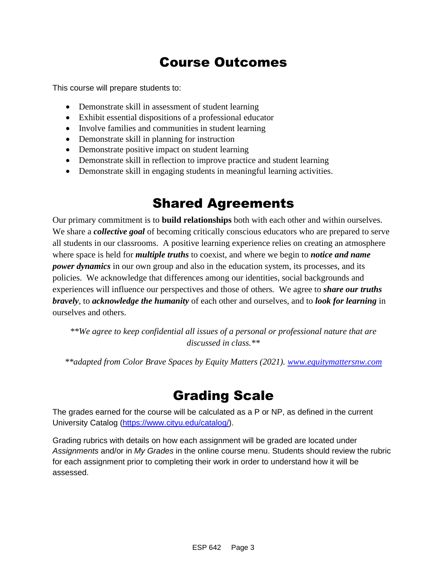## Course Outcomes

This course will prepare students to:

- Demonstrate skill in assessment of student learning
- Exhibit essential dispositions of a professional educator
- Involve families and communities in student learning
- Demonstrate skill in planning for instruction
- Demonstrate positive impact on student learning
- Demonstrate skill in reflection to improve practice and student learning
- Demonstrate skill in engaging students in meaningful learning activities.

## Shared Agreements

Our primary commitment is to **build relationships** both with each other and within ourselves. We share a *collective goal* of becoming critically conscious educators who are prepared to serve all students in our classrooms. A positive learning experience relies on creating an atmosphere where space is held for *multiple truths* to coexist, and where we begin to *notice and name power dynamics* in our own group and also in the education system, its processes, and its policies. We acknowledge that differences among our identities, social backgrounds and experiences will influence our perspectives and those of others*.* We agree to *share our truths bravely*, to *acknowledge the humanity* of each other and ourselves, and to *look for learning* in ourselves and others.

*\*\*We agree to keep confidential all issues of a personal or professional nature that are discussed in class.\*\**

*\*\*adapted from Color Brave Spaces by Equity Matters (2021). [www.equitymattersnw.com](http://www.equitymattersnw.com/)*

### Grading Scale

The grades earned for the course will be calculated as a P or NP, as defined in the current University Catalog [\(https://www.cityu.edu/catalog/\)](https://www.cityu.edu/catalog/).

Grading rubrics with details on how each assignment will be graded are located under *Assignments* and/or in *My Grades* in the online course menu. Students should review the rubric for each assignment prior to completing their work in order to understand how it will be assessed.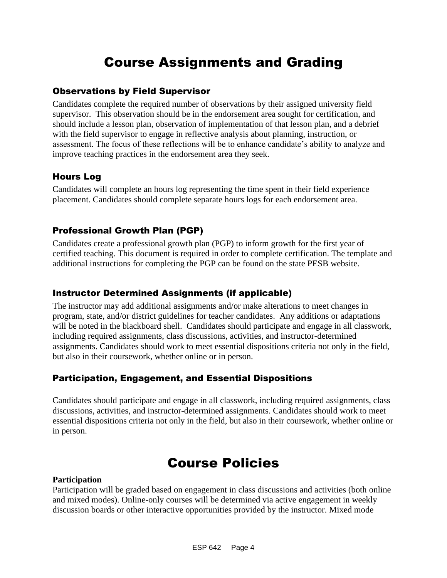## Course Assignments and Grading

#### Observations by Field Supervisor

Candidates complete the required number of observations by their assigned university field supervisor. This observation should be in the endorsement area sought for certification, and should include a lesson plan, observation of implementation of that lesson plan, and a debrief with the field supervisor to engage in reflective analysis about planning, instruction, or assessment. The focus of these reflections will be to enhance candidate's ability to analyze and improve teaching practices in the endorsement area they seek.

### Hours Log

Candidates will complete an hours log representing the time spent in their field experience placement. Candidates should complete separate hours logs for each endorsement area.

### Professional Growth Plan (PGP)

Candidates create a professional growth plan (PGP) to inform growth for the first year of certified teaching. This document is required in order to complete certification. The template and additional instructions for completing the PGP can be found on the state PESB website.

### Instructor Determined Assignments (if applicable)

The instructor may add additional assignments and/or make alterations to meet changes in program, state, and/or district guidelines for teacher candidates. Any additions or adaptations will be noted in the blackboard shell. Candidates should participate and engage in all classwork, including required assignments, class discussions, activities, and instructor-determined assignments. Candidates should work to meet essential dispositions criteria not only in the field, but also in their coursework, whether online or in person.

### Participation, Engagement, and Essential Dispositions

Candidates should participate and engage in all classwork, including required assignments, class discussions, activities, and instructor-determined assignments. Candidates should work to meet essential dispositions criteria not only in the field, but also in their coursework, whether online or in person.

### Course Policies

#### **Participation**

Participation will be graded based on engagement in class discussions and activities (both online and mixed modes). Online-only courses will be determined via active engagement in weekly discussion boards or other interactive opportunities provided by the instructor. Mixed mode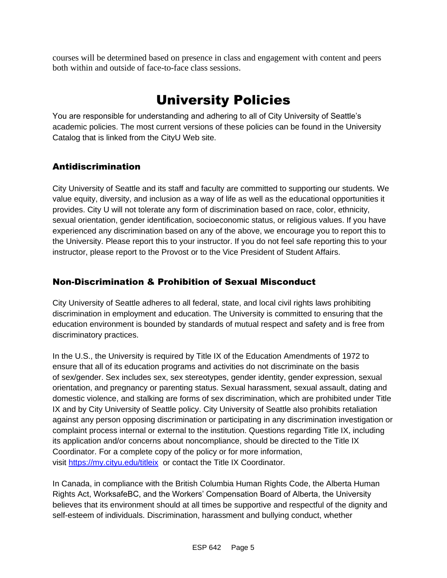courses will be determined based on presence in class and engagement with content and peers both within and outside of face-to-face class sessions.

## University Policies

You are responsible for understanding and adhering to all of City University of Seattle's academic policies. The most current versions of these policies can be found in the University Catalog that is linked from the CityU Web site.

### Antidiscrimination

City University of Seattle and its staff and faculty are committed to supporting our students. We value equity, diversity, and inclusion as a way of life as well as the educational opportunities it provides. City U will not tolerate any form of discrimination based on race, color, ethnicity, sexual orientation, gender identification, socioeconomic status, or religious values. If you have experienced any discrimination based on any of the above, we encourage you to report this to the University. Please report this to your instructor. If you do not feel safe reporting this to your instructor, please report to the Provost or to the Vice President of Student Affairs.

### Non-Discrimination & Prohibition of Sexual Misconduct

City University of Seattle adheres to all federal, state, and local civil rights laws prohibiting discrimination in employment and education. The University is committed to ensuring that the education environment is bounded by standards of mutual respect and safety and is free from discriminatory practices.

In the U.S., the University is required by Title IX of the Education Amendments of 1972 to ensure that all of its education programs and activities do not discriminate on the basis of sex/gender. Sex includes sex, sex stereotypes, gender identity, gender expression, sexual orientation, and pregnancy or parenting status. Sexual harassment, sexual assault, dating and domestic violence, and stalking are forms of sex discrimination, which are prohibited under Title IX and by City University of Seattle policy. City University of Seattle also prohibits retaliation against any person opposing discrimination or participating in any discrimination investigation or complaint process internal or external to the institution. Questions regarding Title IX, including its application and/or concerns about noncompliance, should be directed to the Title IX Coordinator. For a complete copy of the policy or for more information, visit [https://my.cityu.edu/titleix](https://nam11.safelinks.protection.outlook.com/?url=https%3A%2F%2Fmy.cityu.edu%2Ftitleix&data=04%7C01%7Claker%40cityu.edu%7Cbc558c70c10340dbaa2408d9172365a0%7Cb3fa96d9f5154662add763d854e39e63%7C1%7C0%7C637566263054321964%7CUnknown%7CTWFpbGZsb3d8eyJWIjoiMC4wLjAwMDAiLCJQIjoiV2luMzIiLCJBTiI6Ik1haWwiLCJXVCI6Mn0%3D%7C1000&sdata=GX0hgfxN2OMKFTKjD04gqvwwyU44mfnCmEdCtsEzab0%3D&reserved=0) or contact the Title IX Coordinator.

In Canada, in compliance with the British Columbia Human Rights Code, the Alberta Human Rights Act, WorksafeBC, and the Workers' Compensation Board of Alberta, the University believes that its environment should at all times be supportive and respectful of the dignity and self-esteem of individuals. Discrimination, harassment and bullying conduct, whether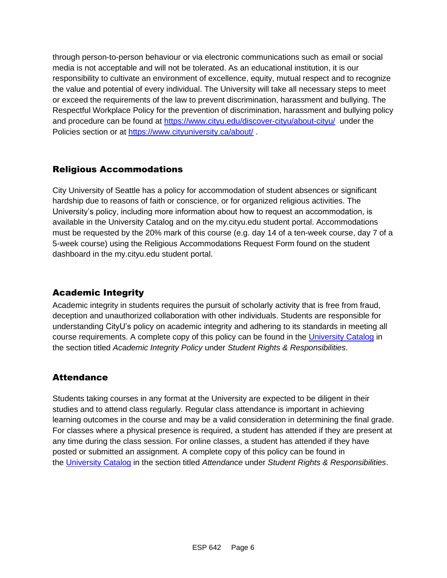through person-to-person behaviour or via electronic communications such as email or social media is not acceptable and will not be tolerated. As an educational institution, it is our responsibility to cultivate an environment of excellence, equity, mutual respect and to recognize the value and potential of every individual. The University will take all necessary steps to meet or exceed the requirements of the law to prevent discrimination, harassment and bullying. The Respectful Workplace Policy for the prevention of discrimination, harassment and bullying policy and procedure can be found at [https://www.cityu.edu/discover-cityu/about-cityu/](https://nam11.safelinks.protection.outlook.com/?url=https%3A%2F%2Fwww.cityu.edu%2Fdiscover-cityu%2Fabout-cityu%2F&data=04%7C01%7Claker%40cityu.edu%7Cbc558c70c10340dbaa2408d9172365a0%7Cb3fa96d9f5154662add763d854e39e63%7C1%7C0%7C637566263054331957%7CUnknown%7CTWFpbGZsb3d8eyJWIjoiMC4wLjAwMDAiLCJQIjoiV2luMzIiLCJBTiI6Ik1haWwiLCJXVCI6Mn0%3D%7C1000&sdata=7Q6QoqwuNLfeOJPewViWSeIwRIBy%2BoqDOiP8xSHYm78%3D&reserved=0) under the Policies section or at [https://www.cityuniversity.ca/about/](https://nam11.safelinks.protection.outlook.com/?url=https%3A%2F%2Fwww.cityuniversity.ca%2Fabout%2F&data=04%7C01%7Claker%40cityu.edu%7Cbc558c70c10340dbaa2408d9172365a0%7Cb3fa96d9f5154662add763d854e39e63%7C1%7C0%7C637566263054331957%7CUnknown%7CTWFpbGZsb3d8eyJWIjoiMC4wLjAwMDAiLCJQIjoiV2luMzIiLCJBTiI6Ik1haWwiLCJXVCI6Mn0%3D%7C1000&sdata=TX6bXEiU0CC6hC1mrTnKpuJywbR06qAj7RMu8QC4RUA%3D&reserved=0)

### Religious Accommodations

City University of Seattle has a policy for accommodation of student absences or significant hardship due to reasons of faith or conscience, or for organized religious activities. The University's policy, including more information about how to request an accommodation, is available in the University Catalog and on the my.cityu.edu student portal. Accommodations must be requested by the 20% mark of this course (e.g. day 14 of a ten-week course, day 7 of a 5-week course) using the Religious Accommodations Request Form found on the student dashboard in the my.cityu.edu student portal.

### Academic Integrity

Academic integrity in students requires the pursuit of scholarly activity that is free from fraud, deception and unauthorized collaboration with other individuals. Students are responsible for understanding CityU's policy on academic integrity and adhering to its standards in meeting all course requirements. A complete copy of this policy can be found in the [University Catalog](https://nam11.safelinks.protection.outlook.com/?url=http%3A%2F%2Fwww.cityu.edu%2Fcatalog%2F&data=04%7C01%7Claker%40cityu.edu%7Cbc558c70c10340dbaa2408d9172365a0%7Cb3fa96d9f5154662add763d854e39e63%7C1%7C0%7C637566263054341952%7CUnknown%7CTWFpbGZsb3d8eyJWIjoiMC4wLjAwMDAiLCJQIjoiV2luMzIiLCJBTiI6Ik1haWwiLCJXVCI6Mn0%3D%7C1000&sdata=aL6fsSyLtVzJgdrlE9PtZXb%2F3H6wCdrvPcw4zOoEYTI%3D&reserved=0) in the section titled *Academic Integrity Policy* under *Student Rights & Responsibilities*.

### **Attendance**

Students taking courses in any format at the University are expected to be diligent in their studies and to attend class regularly. Regular class attendance is important in achieving learning outcomes in the course and may be a valid consideration in determining the final grade. For classes where a physical presence is required, a student has attended if they are present at any time during the class session. For online classes, a student has attended if they have posted or submitted an assignment. A complete copy of this policy can be found in the [University Catalog](https://nam11.safelinks.protection.outlook.com/?url=http%3A%2F%2Fwww.cityu.edu%2Fcatalog%2F&data=04%7C01%7Claker%40cityu.edu%7Cbc558c70c10340dbaa2408d9172365a0%7Cb3fa96d9f5154662add763d854e39e63%7C1%7C0%7C637566263054341952%7CUnknown%7CTWFpbGZsb3d8eyJWIjoiMC4wLjAwMDAiLCJQIjoiV2luMzIiLCJBTiI6Ik1haWwiLCJXVCI6Mn0%3D%7C1000&sdata=aL6fsSyLtVzJgdrlE9PtZXb%2F3H6wCdrvPcw4zOoEYTI%3D&reserved=0) in the section titled *Attendance* under *Student Rights & Responsibilities*.